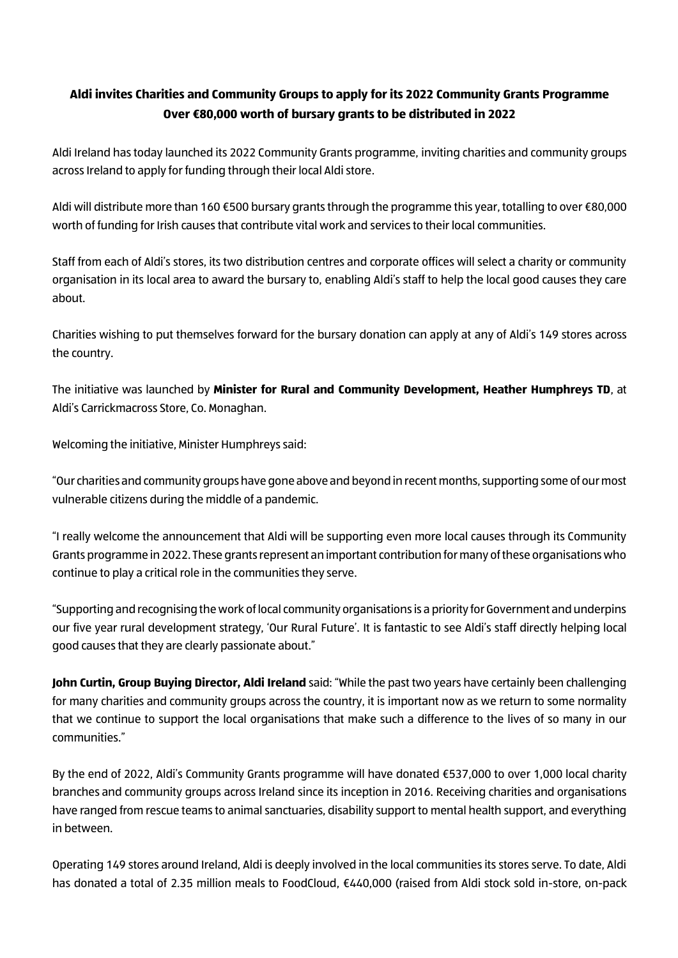## **Aldi invites Charities and Community Groups to apply for its 2022 Community Grants Programme Over €80,000 worth of bursary grants to be distributed in 2022**

Aldi Ireland has today launched its 2022 Community Grants programme, inviting charities and community groups across Ireland to apply for funding through their local Aldi store.

Aldi will distribute more than 160 €500 bursary grants through the programme this year, totalling to over €80,000 worth of funding for Irish causes that contribute vital work and services to their local communities.

Staff from each of Aldi's stores, its two distribution centres and corporate offices will select a charity or community organisation in its local area to award the bursary to, enabling Aldi's staff to help the local good causes they care about.

Charities wishing to put themselves forward for the bursary donation can apply at any of Aldi's 149 stores across the country.

The initiative was launched by **Minister for Rural and Community Development, Heather Humphreys TD**, at Aldi's Carrickmacross Store, Co. Monaghan.

Welcoming the initiative, Minister Humphreys said:

"Our charities and community groups have gone above and beyond in recent months, supporting some of our most vulnerable citizens during the middle of a pandemic.

"I really welcome the announcement that Aldi will be supporting even more local causes through its Community Grants programme in 2022. These grants represent an important contribution for many of these organisations who continue to play a critical role in the communities they serve.

"Supporting and recognising the work of local community organisations is a priority for Government and underpins our five year rural development strategy, 'Our Rural Future'. It is fantastic to see Aldi's staff directly helping local good causes that they are clearly passionate about."

**John Curtin, Group Buying Director, Aldi Ireland** said: "While the past two years have certainly been challenging for many charities and community groups across the country, it is important now as we return to some normality that we continue to support the local organisations that make such a difference to the lives of so many in our communities."

By the end of 2022, Aldi's Community Grants programme will have donated €537,000 to over 1,000 local charity branches and community groups across Ireland since its inception in 2016. Receiving charities and organisations have ranged from rescue teams to animal sanctuaries, disability support to mental health support, and everything in between.

Operating 149 stores around Ireland, Aldi is deeply involved in the local communities its stores serve. To date, Aldi has donated a total of 2.35 million meals to FoodCloud, €440,000 (raised from Aldi stock sold in-store, on-pack